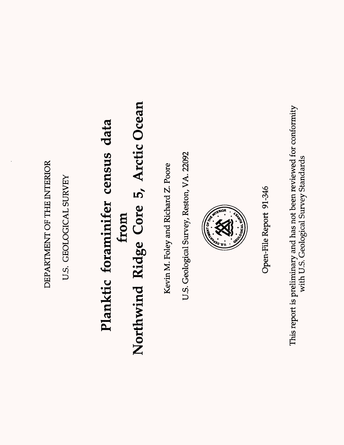DEPARTMENT OF THE INTERIOR DEPARTMENT OF THE INTERIOR

U.S. GEOLOGICAL SURVEY U.S. GEOLOGICAL SURVEY

# Northwind Ridge Core 5, Arctic Ocean **Northwind Ridge Core 5, Arctic Ocean** Planktic foraminifer census data **Planktic foraminifer census data from**

Kevin M. Foley and Richard Z. Poore Kevin M. Foley and Richard Z. Poore

U.S. Geological Survey, Reston, VA. 22092 U.S. Geological Survey, Reston, VA. 22092



Open-File Report 91-346 Open-File Report 91-346 This report is preliminary and has not been reviewed for conformity This report is preliminary and has not been reviewed for conformity with U.S. Geological Survey Standards with U.S. Geological Survey Standards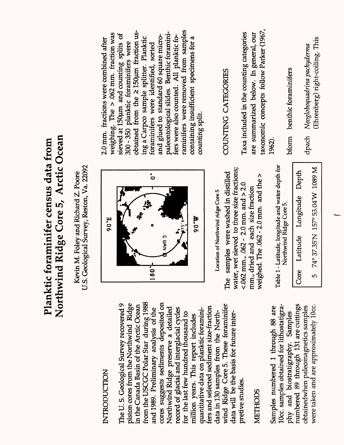## Northwind Ridge Core 5, Arctic Ocean **Northwind Ridge Core 5, Arctic Ocean** Planktic foraminifer census data from Planktic foraminifer census data from

U.S. Geological Survey, Reston, Va. 22092 U.S. Geological Survey, Reston, Va. 22092 Kevin M. Foley and Richard Z. Poore Kevin M. Foley and Richard Z. Poore

#### **INTRODUCTION** INTRODUCTION

from the USCGC Polar Star during 1988 cores suggests sediments deposited on The U.S. Geological Survey recovered 9 The U. S. Geological Survey recovered 9 piston cores from the Northwind Ridge piston cores from the Northwind Ridge from the USCGC Polar Star during 1988 cores suggests sediments deposited on wind Ridge CoreS. These foraminifer in the Canada Basin of the Arctic Ocean in the Canada Basin of the Arctic Ocean wind Ridge Core 5. These foraminifer fers and selected sediment size-fraction Northwind Ridge preserve a detailed and 1989. Preliminary analysis of the Northwind Ridge preserve a detailed record of glacial and interglacial cycles fers and selected sediment size-fraction and 1989. Preliminary analysis of the record of glacial and interglacial cycles quantitative data on planktic foraminiquantitative data on planktic foraminidata in 130 samples from the Northfor the last few hundred thousand to for the last few hundred thousand to data in 130 samples from the Northdata will be the basis for future interdata will be the basis for future intermillion years. This report includes million years. This report includes pretive studies. pretive studies.

### METHODS

numbered 89 through 131 are cuttings 10cc. samples obtained for lithostatigranumbered 89 through 131 are cuttings Samples numbered 1 through 88 are lOcc. samples obtained for lithostatigraobtainedwhen paleomagnetics samples obtainedwhen paleomagnetics samples were taken and are approximately lOcc. were taken and are approximately 10cc. Samples numbered 1 through 88 are phy and biostratigraphy. Samples phy and biostratigraphy. Samples



Location of Northwind ridge Core 5 **Location of Northwind ridge Core 5**

water, wet sieved to three size fractions; water, wet sieved to three size fractions; The samples were washed in distilled The samples were washed in distilled weighed. The  $.062 - 2.0$  mm. and the  $>$ weighed. The .062 - 2.0 mm. and the >  $< .062$  mm.,  $.062 - 2.0$  mm. and  $> 2.0$ <.062 mm., .062 - 2.0 mm. and  $>$  2.0 mm., dried and each size fraction mm., dried and each size fraction

Table 1 - Latitude, longitude and water depth for Table 1 - Latitude, longitude and water depth for Northwind Ridge Core 5. Northwind Ridge Core 5.

74° 37.35'N 157° 53.04'W 1089 M 5 74°37.35'N 157°53.04'W 1089 M Core Latitude Longitude Depth Core Latitude Longitude Depth r<br>U

raminifers were removed from samples raminifers were removed from samples weighing. The  $> 0.062$  mm. fraction was obtained from the  $\geq$  150 $\mu$ m fraction usobtained from the  $\geq$  150 $\mu$ m fraction usweighing. The  $>$  .062 mm. fraction was sieved at 150µm and counting splits of paleontological slides. Benthic foraminipaleontological slides. Benthic foraminisieved at 150µm and counting splits of and glued to standard 60 square microfers were also counted. All planktic foand glued to standard 60 square microing a Carpco sample splitter. Planktic ing a Carpco sample splitter. Planktic fers were also counted. All planktic focontaining insufficient specimens for a containing insufficient specimens for a 2.0 mm. fractions were combined after 2.0 mm. fractions were combined after 300-350 planktic foraminifers were 300-350 planktic foraminifers were foraminifers were identified, sorted foraminifers were identified, sorted counting split. counting split.

### COUNTING CATEGORIES COUNTING CATEGORIES

taxonomic concepts follow Parker (1967, taxonomic concepts follow Parker (1967, Taxa included in the counting categories Taxa included in the counting categories are summarized below. In general, our are summarized below. In general, our 1962).

bform benthic foraminifers bform benthic foraminifers

(Ehrenberg) right-coiling. This (Ehrenberg) right-coiling. Thisdpach *Neogloboquadrina pachyderma*  Neogloboquadrina pachyderma dpach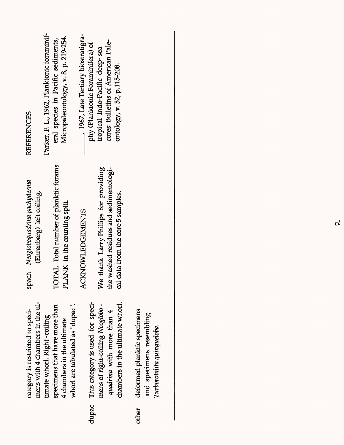| <b>REFERENCES</b>                                                   | Parker, F. L., 1962, Planktonic foraminif- | eral species in Pacific sediments,    | Micropaleontology, v. 8, p. 219-254. |                                 | 1967, Late Tertiary biostratigra- | phy (Planktonic Foraminifera) of | tropical Indo-Pacific deep-sea        | cores: Bulletins of American Pale-    | ontology, v. 52, p.115-208.       |  |
|---------------------------------------------------------------------|--------------------------------------------|---------------------------------------|--------------------------------------|---------------------------------|-----------------------------------|----------------------------------|---------------------------------------|---------------------------------------|-----------------------------------|--|
| pach Neogloboquadrina pachyderma<br>(Ehrenberg) left coiling.<br>Ω  |                                            | TOTAL Total number of planktic forams | PLANK in the counting split.         |                                 | <b>ACKNOWLEDGEMENTS</b>           |                                  | Ve thank Larry Phillips for providing | he washed residues and sedimentologi- | cal data from the core 5 samples. |  |
| mens with 4 chambers in the ul-<br>category is restricted to speci- | timate whorl. Right-coiling                | specimens that have more than         | 4 chambers in the ultimate           | whorl are tabulated as "dupac". |                                   | This category is used for speci- | mens of right-coiling Neoglobo -      | quadrina with more than 4             | chambers in the ultimate whorl.   |  |
|                                                                     |                                            |                                       |                                      |                                 |                                   | dupac                            |                                       |                                       |                                   |  |

deformed planktic specimens

other

and specimens resembling<br>Turborotalita quinqueloba.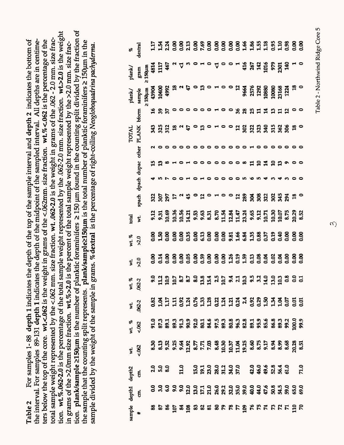tion, plank/sample >150um is the number of planktic foraminifers > 150 pm found in the counting split divided by the fraction of tion. wL%.062-2.0 is the percentage of the total sample weight represented by the .062-2.0 mm. size fraction. wt.>2.0 is the weight tion. plank/sample 2150µm is the number of planktic foraminifers 2150 µm found in the counting split divided by the fraction of tion. wt %.062-2.0 is the percentage of the total sample weight represented by the .062-2.0 mm. size fraction. wt.>2.0 is the weight total sample weight represented by the <.062 mm. size fraction. wt. .062-2.0 is the weight in grams of the .062 - 2.0 mm. size frac-Table 2 For samples 1- 88 depth 1 indicates the depth of the top of the sample interval and depth 2 indicates the bottom of the interval. For samples 89-131 depth 1 indicates the depth of the midpoint of the sampled interval. All depths are in centimeters below the top of the core. wt.<.062 is the weight in grams of the <.062mm. size fraction. wt.%<.062 is the percentage of the ters below the top of the core. wt.<.062 is the weight in grams of the <.062mm. size fraction. wt.%<.062 is the percentage of the total sample weight represented by the <.062 mm. size fraction. wt. .062-2.0 is the weight in grams of the .062 - 2.0 mm. size fracthe interval. For samples 89-131 depth 1 indicates the depth of the midpoint of the sampled interval. All depths are in centimethe sample that the counting split represents. plank/sample≥150µm is the total number of planktic foraminifers ≥ 150µm in the the sample that the counting split represents. plank/sample≥150µm is the total number of planktic foraminifers ≥ 150µm in the For samples 1-88 depth 1 indicates the depth of the top of the sample interval and depth 2 indicates the bottom of in grams of the >2.0mm size fraction. wt%>2.0 is the percent of the total sample weight represented by the >2.0 mm. size fracin grams of the >2.0mm size fraction. wL%>2.0 is the percent of the total sample weight represented by the >2.0 mm. size fracsample divided by the weight of the sample in grams. % dextral is the percentage of right-coiling *Neogloboquadrina pachyderma.* sample divided by the weight of the sample in grams. % dextral is the percentage of right-coiling Neogloboquadrina pachyderma. Table<sub>2</sub>

| æ                           | dextral     |               |               |                   |          |                              |            |  |                                                         |  |                                                                                                                     |  |  |  |                             |
|-----------------------------|-------------|---------------|---------------|-------------------|----------|------------------------------|------------|--|---------------------------------------------------------|--|---------------------------------------------------------------------------------------------------------------------|--|--|--|-----------------------------|
| plank/                      | gram        | $2150 \mu m$  |               | $\frac{481}{115}$ |          |                              |            |  |                                                         |  |                                                                                                                     |  |  |  |                             |
| plank/                      | sample      | $\geq 150$ um |               |                   |          | 43904<br>10400<br>4992<br>13 | <u>়</u> এ |  |                                                         |  |                                                                                                                     |  |  |  |                             |
|                             | bform       |               | $\frac{3}{4}$ |                   | 35<br>37 |                              |            |  |                                                         |  | <b>000100% 2011101101</b>                                                                                           |  |  |  |                             |
| <b>TOTAL</b>                | PLANK       |               |               |                   |          |                              |            |  |                                                         |  |                                                                                                                     |  |  |  |                             |
|                             | other       |               |               |                   |          |                              |            |  |                                                         |  |                                                                                                                     |  |  |  |                             |
|                             |             |               |               | ង ដ ∞             |          |                              |            |  |                                                         |  | 10100000000 HOHOD 00                                                                                                |  |  |  |                             |
|                             | dpach dupac |               |               |                   |          |                              |            |  | $\begin{array}{c} \texttt{C} \\ \texttt{C} \end{array}$ |  | $\circ$ $\circ$ m                                                                                                   |  |  |  |                             |
|                             | spach       |               |               |                   |          | <b>ដូ</b> ខ្លួ ៦ ។ ងូ        |            |  |                                                         |  | <b>。 1 。 1 。 。 1 。 3 。 3 。 3 . 3 . 3 . 3 . 9 . 9</b> . 0                                                            |  |  |  |                             |
| total<br>wt.                |             |               |               |                   |          |                              |            |  |                                                         |  |                                                                                                                     |  |  |  |                             |
| $Wt$ . %<br>>2.0            |             |               |               |                   |          |                              |            |  |                                                         |  |                                                                                                                     |  |  |  |                             |
| $\frac{1}{2}$ $\frac{1}{2}$ |             |               |               |                   |          |                              |            |  |                                                         |  |                                                                                                                     |  |  |  |                             |
| wt. %                       | 062-2       |               |               |                   |          |                              |            |  |                                                         |  |                                                                                                                     |  |  |  |                             |
| wt.<br>062-2                |             |               |               |                   |          |                              |            |  |                                                         |  |                                                                                                                     |  |  |  | $8477784883434748384448884$ |
| wt. %<br><.062              |             |               |               |                   |          |                              |            |  |                                                         |  | <u>ទី ដូន ដូន ទី ខ្ពុជ ម៉ូ ដូន ទី ខ្ពុជ ម៉ូ ទី ទី ខ្ពុជ ម៉ូ ទី ខ្ពុជ ម៉ូ ទី ខ្ពុជ ម៉ូ ទី ខ្ពុជ ម៉ូ ទី ខ្ពុជ ម៉ូ</u> |  |  |  |                             |
| wt.<br><.062                |             |               |               |                   |          |                              |            |  |                                                         |  |                                                                                                                     |  |  |  |                             |
| depth2                      | E.          |               |               |                   |          |                              |            |  |                                                         |  |                                                                                                                     |  |  |  |                             |
| depth1                      | E.          |               |               |                   |          |                              |            |  |                                                         |  |                                                                                                                     |  |  |  |                             |
| sample                      | ∗           |               |               |                   |          |                              |            |  |                                                         |  |                                                                                                                     |  |  |  |                             |

Table 2 - Northwind Ridge Core 5 Table 2 - Northwind Ridge Core 5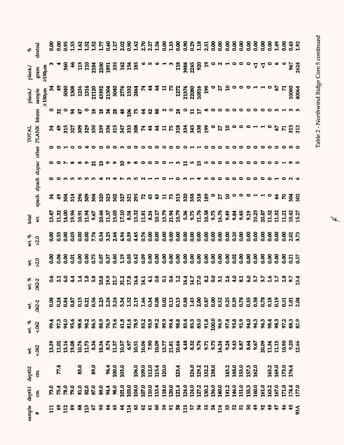| og              | dextral                       |              |      |      |   |                      |      |               |                                                                                                                                                                                                  |                                                                         |     |     |                   |  |       |  |  |   |                    |  |                    |  |  |        |      |                 |             |                                                           |
|-----------------|-------------------------------|--------------|------|------|---|----------------------|------|---------------|--------------------------------------------------------------------------------------------------------------------------------------------------------------------------------------------------|-------------------------------------------------------------------------|-----|-----|-------------------|--|-------|--|--|---|--------------------|--|--------------------|--|--|--------|------|-----------------|-------------|-----------------------------------------------------------|
| plank/          | gram                          | mtosrz       |      |      |   |                      |      |               |                                                                                                                                                                                                  |                                                                         |     |     |                   |  |       |  |  |   |                    |  |                    |  |  | $-440$ |      |                 | 967<br>2624 |                                                           |
| plank/          | sample                        | $2150 \mu m$ |      |      |   |                      |      |               |                                                                                                                                                                                                  |                                                                         |     |     |                   |  |       |  |  |   |                    |  |                    |  |  |        |      |                 |             | $\begin{array}{r} 67 \\ 71 \\ 10080 \\ 40064 \end{array}$ |
|                 | bform                         |              |      |      |   |                      |      |               | $a_0$ $x_2$ $a_3$                                                                                                                                                                                |                                                                         | ೫ ೫ |     |                   |  |       |  |  |   | agracado do do dio |  |                    |  |  |        |      |                 |             |                                                           |
| TOTAL           |                               |              |      |      |   |                      |      |               | ತಿ ಇತ್ತ                                                                                                                                                                                          | <b>88558885385168358890520001106553</b>                                 |     |     |                   |  |       |  |  |   |                    |  |                    |  |  |        |      |                 |             |                                                           |
|                 | spach dpach dupac other PLANK |              |      |      |   |                      |      |               |                                                                                                                                                                                                  |                                                                         |     |     |                   |  |       |  |  |   |                    |  |                    |  |  |        |      |                 |             |                                                           |
|                 |                               |              |      |      |   |                      |      |               |                                                                                                                                                                                                  | <b>G</b> G G G G G G G                                                  |     |     |                   |  |       |  |  | 급 | ຸຕິ ຕ              |  |                    |  |  |        |      |                 |             |                                                           |
|                 |                               |              |      |      |   |                      |      |               |                                                                                                                                                                                                  |                                                                         |     |     |                   |  |       |  |  |   |                    |  |                    |  |  |        |      |                 |             |                                                           |
|                 |                               |              | 22 S |      | Ř | $\overline{51}$      |      | $\frac{8}{3}$ | Ř                                                                                                                                                                                                | 325                                                                     |     | 302 | 325<br>325<br>295 |  | 5 3 3 |  |  |   |                    |  | $758888$ 890a 2000 |  |  |        | ం  అ | <u>ន្ត ខ្លួ</u> |             |                                                           |
| total           | $\sharp$                      |              |      |      |   |                      |      |               |                                                                                                                                                                                                  |                                                                         |     |     |                   |  |       |  |  |   |                    |  |                    |  |  |        |      |                 |             |                                                           |
| wt. %           | >2.0                          |              |      |      |   |                      |      |               |                                                                                                                                                                                                  |                                                                         |     |     |                   |  |       |  |  |   |                    |  |                    |  |  |        |      |                 |             |                                                           |
|                 | $\times 20$                   |              |      |      |   |                      |      |               |                                                                                                                                                                                                  |                                                                         |     |     |                   |  |       |  |  |   |                    |  |                    |  |  |        |      |                 |             |                                                           |
| wt. %<br>.062-2 |                               |              |      |      |   | <b>9 H 9 4 H H B</b> |      |               |                                                                                                                                                                                                  | 8 9 9 1 8 1 8 1 1 1 2 1 2 1 1 2 1 2 1 2 3 4 4 8 9 8 9 8 9 8 1 8 9 7 8 9 |     |     |                   |  |       |  |  |   |                    |  |                    |  |  |        |      |                 |             |                                                           |
| wt.             | $062 - 2$                     |              |      |      |   |                      |      |               |                                                                                                                                                                                                  |                                                                         |     |     |                   |  |       |  |  |   |                    |  |                    |  |  |        |      |                 |             |                                                           |
| vt. %<br><.062  |                               |              |      |      |   |                      |      |               |                                                                                                                                                                                                  |                                                                         |     |     |                   |  |       |  |  |   |                    |  |                    |  |  |        |      |                 |             |                                                           |
| wt.<br><.062    |                               |              |      |      |   |                      |      |               | 33 のはぬ あたま あれる いのに めのの アミル の 後 33 アスズ 24 は 36 ね 69 以上 13 との 34 は 36 と 14 は 36 と 14 は 36 と 14 は 36 と 14 は 36 と 1<br>13 14 15 15 14 24 24 24 25 26 27 27 27 27 27 27 27 27 27 28 29 20 21 22 23 24 |                                                                         |     |     |                   |  |       |  |  |   |                    |  |                    |  |  |        |      |                 |             |                                                           |
| depth2          | មី                            |              |      | 77.4 |   |                      | 83.0 |               | 89.0                                                                                                                                                                                             |                                                                         |     |     |                   |  |       |  |  |   |                    |  |                    |  |  |        |      |                 |             |                                                           |
| depth1          | Ę                             |              |      |      |   |                      |      |               |                                                                                                                                                                                                  |                                                                         |     |     |                   |  |       |  |  |   |                    |  |                    |  |  |        |      |                 |             |                                                           |
| ample<br>#      |                               |              |      |      |   |                      |      |               |                                                                                                                                                                                                  |                                                                         |     |     |                   |  |       |  |  |   |                    |  |                    |  |  |        |      |                 |             |                                                           |

Table 2 - Northwind Ridge Core 5 continued Table 2 - Northwind Ridge Core 5 continued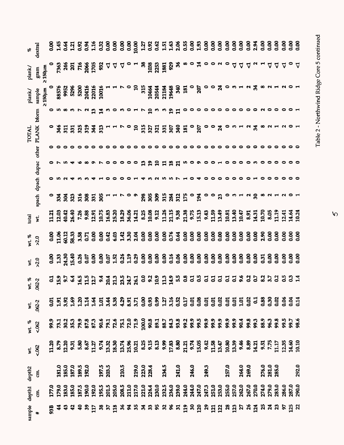| $\mathscr{E}$           | dextral                       |              |    |  |                                                                                                                                                                            |  |           |                |  |              |                         |    |  |                  |  |   |       |                                                                                                                                                                                                                                                                                                                                       |                     |                                                                                         |       |                                 |  |                         |          |          |                         |       |
|-------------------------|-------------------------------|--------------|----|--|----------------------------------------------------------------------------------------------------------------------------------------------------------------------------|--|-----------|----------------|--|--------------|-------------------------|----|--|------------------|--|---|-------|---------------------------------------------------------------------------------------------------------------------------------------------------------------------------------------------------------------------------------------------------------------------------------------------------------------------------------------|---------------------|-----------------------------------------------------------------------------------------|-------|---------------------------------|--|-------------------------|----------|----------|-------------------------|-------|
| plank/                  | $gram$                        | 2150um       |    |  | <b>7363</b><br>25 7 16<br>2006<br>27 17 17 17 17 17 17 18                                                                                                                  |  |           |                |  |              |                         |    |  | $87779 - 888888$ |  |   |       | $\sim$ $\frac{1}{2}$ $\sim$ $\sim$ $\sim$                                                                                                                                                                                                                                                                                             |                     |                                                                                         |       | 4 4 4                           |  |                         | 7 ⊽      | $\Delta$ |                         |       |
| plank/                  | sample                        | $2150 \mu m$ |    |  | 88576<br>9952<br>520416<br>52016<br>10016<br>10016                                                                                                                         |  |           |                |  |              |                         |    |  |                  |  |   |       | $\begin{array}{c} 0 & 5 & 5 \\ 0 & 5 & 5 \\ 0 & 0 & 5 \\ 0 & 0 & 5 \\ 0 & 0 & 5 \\ 0 & 0 & 5 \\ 0 & 0 & 5 \\ 0 & 0 & 5 \\ 0 & 0 & 5 \\ 0 & 0 & 5 \\ 0 & 0 & 5 \\ 0 & 0 & 5 \\ 0 & 0 & 5 \\ 0 & 0 & 5 \\ 0 & 0 & 5 \\ 0 & 0 & 5 \\ 0 & 0 & 5 \\ 0 & 0 & 5 \\ 0 & 0 & 5 \\ 0 & 0 & 5 \\ 0 & 0 & 5 \\ 0 & 0 & 5 \\ 0 & 0 & 5 \\ 0 & 0 &$ |                     | Z,                                                                                      |       | ᅁᆸᇇᅛᆦᇕ                          |  |                         |          |          |                         |       |
|                         | bform                         |              |    |  |                                                                                                                                                                            |  | <b>22</b> |                |  |              |                         |    |  |                  |  | P |       |                                                                                                                                                                                                                                                                                                                                       | $\circ \circ \circ$ |                                                                                         |       |                                 |  |                         |          |          |                         |       |
| <b>TOTAL</b>            | spach dpach dupac other PLANK |              |    |  | $ \frac{1}{3}$ $\frac{1}{6}$ $\frac{1}{6}$ $\frac{1}{6}$ $\frac{1}{6}$ $\frac{1}{6}$ $\frac{1}{6}$ $\frac{1}{6}$ $\frac{1}{6}$ $\frac{1}{6}$ $\frac{1}{10}$ $\frac{1}{10}$ |  |           |                |  |              | $\mathbf{a}$            |    |  |                  |  |   |       |                                                                                                                                                                                                                                                                                                                                       |                     | <b>535555566667</b><br>53555556666                                                      |       | 0 H H W                         |  |                         |          |          |                         |       |
|                         |                               |              |    |  |                                                                                                                                                                            |  |           |                |  |              |                         |    |  |                  |  |   |       |                                                                                                                                                                                                                                                                                                                                       |                     |                                                                                         |       |                                 |  |                         |          |          |                         |       |
|                         |                               |              |    |  |                                                                                                                                                                            |  |           |                |  |              |                         | P. |  | 99888            |  |   |       |                                                                                                                                                                                                                                                                                                                                       |                     |                                                                                         |       |                                 |  |                         |          |          |                         |       |
|                         |                               |              |    |  |                                                                                                                                                                            |  |           |                |  |              |                         |    |  |                  |  |   |       |                                                                                                                                                                                                                                                                                                                                       |                     |                                                                                         |       |                                 |  |                         |          |          |                         |       |
|                         |                               |              |    |  | ಿ ಕ್ಲವೆ ಜ                                                                                                                                                                  |  | 2882871   |                |  |              |                         |    |  |                  |  |   |       |                                                                                                                                                                                                                                                                                                                                       |                     |                                                                                         |       | $\circ$ $\circ$ $\circ$ $\circ$ |  |                         |          |          |                         |       |
| total                   | ż.                            |              |    |  |                                                                                                                                                                            |  |           |                |  |              |                         |    |  |                  |  |   |       |                                                                                                                                                                                                                                                                                                                                       |                     |                                                                                         |       |                                 |  |                         |          |          |                         |       |
| wt. %<br>>2.0           |                               |              |    |  |                                                                                                                                                                            |  |           |                |  |              |                         |    |  |                  |  |   |       |                                                                                                                                                                                                                                                                                                                                       |                     |                                                                                         |       |                                 |  |                         |          |          |                         |       |
|                         | $\times\frac{1}{2}$           |              |    |  |                                                                                                                                                                            |  |           |                |  |              |                         |    |  |                  |  |   |       |                                                                                                                                                                                                                                                                                                                                       |                     |                                                                                         |       |                                 |  |                         | 500      |          | 888.8                   |       |
|                         | wt. %<br>.062-2               |              |    |  | 3.53                                                                                                                                                                       |  |           |                |  |              |                         |    |  |                  |  |   |       |                                                                                                                                                                                                                                                                                                                                       |                     |                                                                                         |       |                                 |  |                         | <u>း</u> |          |                         |       |
| wt.                     | $062 - 2$                     |              |    |  |                                                                                                                                                                            |  |           |                |  |              |                         |    |  |                  |  |   |       |                                                                                                                                                                                                                                                                                                                                       |                     |                                                                                         |       |                                 |  |                         |          |          |                         |       |
| wt. %                   | 5002                          |              |    |  |                                                                                                                                                                            |  |           |                |  |              |                         |    |  |                  |  |   |       |                                                                                                                                                                                                                                                                                                                                       |                     |                                                                                         |       |                                 |  |                         |          |          |                         |       |
| $\overline{\mathbf{x}}$ | 5.062                         |              |    |  |                                                                                                                                                                            |  |           |                |  |              |                         |    |  |                  |  |   |       |                                                                                                                                                                                                                                                                                                                                       |                     |                                                                                         |       |                                 |  |                         |          |          |                         |       |
| depth2                  | មី                            |              |    |  | 181.0<br>185.0<br>187.0<br>199.5                                                                                                                                           |  |           | 197.5<br>203.5 |  | <b>210.5</b> | 219.0<br>223.0<br>228.4 |    |  | 234.5<br>241.0   |  |   | 246.0 |                                                                                                                                                                                                                                                                                                                                       | 249.3               |                                                                                         | 257.0 | 264.0<br>269.0                  |  | 276.0<br>281.0<br>285.0 |          |          |                         | 292.0 |
| depth1                  | ៩                             |              |    |  |                                                                                                                                                                            |  |           |                |  |              |                         |    |  |                  |  |   |       |                                                                                                                                                                                                                                                                                                                                       |                     |                                                                                         |       |                                 |  |                         |          |          | 286.0<br>287.0<br>290.0 |       |
| sample                  | $\ddot{}$                     |              | 53 |  |                                                                                                                                                                            |  |           |                |  |              |                         |    |  |                  |  |   |       |                                                                                                                                                                                                                                                                                                                                       |                     | ឌ ទ ទ ទ ទ ៑ ឌ ខ ទ ៑ ដ ន ន ខ ឌ ឌ ខ ខ ខ ខ ៑ ៑ ៑ ខ ៑ ៑ ខ ៑ ប ៑ ប ៑ ឌ ៑ ប ៑ ឌ ៑ ប ្ដ ប ្អ ្ |       |                                 |  |                         |          |          | ទ ដូ ដ                  |       |

 $\sqrt{2}$